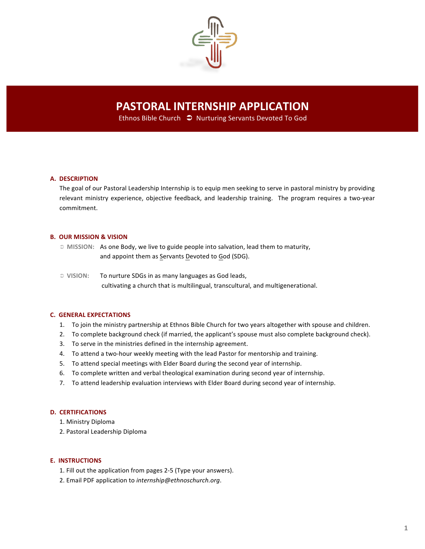

# **PASTORAL INTERNSHIP APPLICATION**

Ethnos Bible Church  $\supset$  Nurturing Servants Devoted To God

#### **A. DESCRIPTION**

The goal of our Pastoral Leadership Internship is to equip men seeking to serve in pastoral ministry by providing relevant ministry experience, objective feedback, and leadership training. The program requires a two-year commitment.

### **B. OUR MISSION & VISION**

! **MISSION:** As one Body, we live to guide people into salvation, lead them to maturity, and appoint them as Servants Devoted to God (SDG).

! **VISION:** To nurture SDGs in as many languages as God leads, cultivating a church that is multilingual, transcultural, and multigenerational.

## **C. GENERAL EXPECTATIONS**

- 1. To join the ministry partnership at Ethnos Bible Church for two years altogether with spouse and children.
- 2. To complete background check (if married, the applicant's spouse must also complete background check).
- 3. To serve in the ministries defined in the internship agreement.
- 4. To attend a two-hour weekly meeting with the lead Pastor for mentorship and training.
- 5. To attend special meetings with Elder Board during the second year of internship.
- 6. To complete written and verbal theological examination during second year of internship.
- 7. To attend leadership evaluation interviews with Elder Board during second year of internship.

## **D. CERTIFICATIONS**

- 1. Ministry Diploma
- 2. Pastoral Leadership Diploma

#### **E. INSTRUCTIONS**

- 1. Fill out the application from pages 2-5 (Type your answers).
- 2. Email PDF application to *internship@ethnoschurch.org*.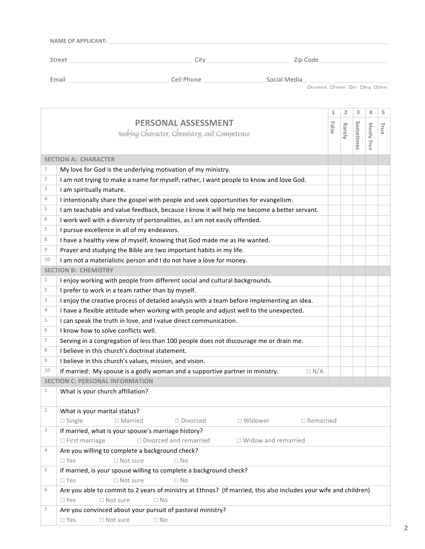| <b>NAME OF APPLICANT:</b> |            |                                     |
|---------------------------|------------|-------------------------------------|
| Street                    | City       | Zip Code                            |
| Email                     | Cell Phone | Social Media                        |
|                           |            | □Facebook □Twitter □G+ □Blog □Other |

|                |                                                                                                                  | 1     | $\overline{2}$ | 3         | 4           | 5    |
|----------------|------------------------------------------------------------------------------------------------------------------|-------|----------------|-----------|-------------|------|
|                | <b>PERSONAL ASSESSMENT</b>                                                                                       |       |                |           |             |      |
|                | Seeking Character, Chemistry, and Competence                                                                     | False | Rarely         |           |             | True |
|                |                                                                                                                  |       |                | Sometimes | Mostly True |      |
|                |                                                                                                                  |       |                |           |             |      |
|                | <b>SECTION A: CHARACTER</b>                                                                                      |       |                |           |             |      |
| 1              | My love for God is the underlying motivation of my ministry.                                                     |       |                |           |             |      |
| $\overline{2}$ | I am not trying to make a name for myself; rather, I want people to know and love God.                           |       |                |           |             |      |
| 3              | I am spiritually mature.                                                                                         |       |                |           |             |      |
| 4              | I intentionally share the gospel with people and seek opportunities for evangelism.                              |       |                |           |             |      |
| 5              | I am teachable and value feedback, because I know it will help me become a better servant.                       |       |                |           |             |      |
| 6              | I work well with a diversity of personalities, as I am not easily offended.                                      |       |                |           |             |      |
| 7              | I pursue excellence in all of my endeavors.                                                                      |       |                |           |             |      |
| 8              | I have a healthy view of myself, knowing that God made me as He wanted.                                          |       |                |           |             |      |
| 9              | Prayer and studying the Bible are two important habits in my life.                                               |       |                |           |             |      |
| 10             | I am not a materialistic person and I do not have a love for money.                                              |       |                |           |             |      |
|                | <b>SECTION B: CHEMISTRY</b>                                                                                      |       |                |           |             |      |
| 1              | I enjoy working with people from different social and cultural backgrounds.                                      |       |                |           |             |      |
| 2              | I prefer to work in a team rather than by myself.                                                                |       |                |           |             |      |
| 3              | I enjoy the creative process of detailed analysis with a team before implementing an idea.                       |       |                |           |             |      |
| 4              | I have a flexible attitude when working with people and adjust well to the unexpected.                           |       |                |           |             |      |
| 5              | I can speak the truth in love, and I value direct communication.                                                 |       |                |           |             |      |
| 6              | I know how to solve conflicts well.                                                                              |       |                |           |             |      |
| 7              | Serving in a congregation of less than 100 people does not discourage me or drain me.                            |       |                |           |             |      |
| 8              | I believe in this church's doctrinal statement.                                                                  |       |                |           |             |      |
| $\mathcal G$   | I believe in this church's values, mission, and vision.                                                          |       |                |           |             |      |
| 10             | If married: My spouse is a godly woman and a supportive partner in ministry.<br>$\Box N/A$                       |       |                |           |             |      |
|                | <b>SECTION C: PERSONAL INFORMATION</b>                                                                           |       |                |           |             |      |
| 1              | What is your church affiliation?                                                                                 |       |                |           |             |      |
|                |                                                                                                                  |       |                |           |             |      |
| 2              | What is your marital status?                                                                                     |       |                |           |             |      |
|                | $\square$ Single $\square$ Married<br>$\Box$ Divorced<br>$\Box$ Widower<br>$\Box$ Remarried                      |       |                |           |             |      |
| 3              | If married, what is your spouse's marriage history?                                                              |       |                |           |             |      |
|                | $\Box$ Divorced and remarried<br>$\Box$ Widow and remarried<br>$\Box$ First marriage                             |       |                |           |             |      |
| 4              | Are you willing to complete a background check?                                                                  |       |                |           |             |      |
|                | $\square$ Yes<br>$\Box$ Not sure<br>$\Box$ No                                                                    |       |                |           |             |      |
| 5              | If married, is your spouse willing to complete a background check?                                               |       |                |           |             |      |
|                | $\Box$ Not sure<br>$\Box$ No<br>$\square$ Yes                                                                    |       |                |           |             |      |
| 6              | Are you able to commit to 2 years of ministry at Ethnos? (If married, this also includes your wife and children) |       |                |           |             |      |
|                | $\square$ Yes<br>$\Box$ Not sure<br>$\Box$ No                                                                    |       |                |           |             |      |
| 7              | Are you convinced about your pursuit of pastoral ministry?                                                       |       |                |           |             |      |
|                | $\Box$ Not sure<br>$\square$ Yes<br>$\Box$ No                                                                    |       |                |           |             |      |
|                |                                                                                                                  |       |                |           |             |      |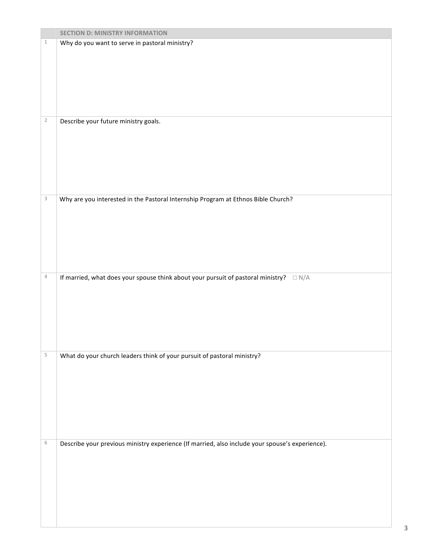|                | <b>SECTION D: MINISTRY INFORMATION</b>                                                          |
|----------------|-------------------------------------------------------------------------------------------------|
| $\mathbf 1$    | Why do you want to serve in pastoral ministry?                                                  |
|                |                                                                                                 |
|                |                                                                                                 |
|                |                                                                                                 |
|                |                                                                                                 |
|                |                                                                                                 |
|                |                                                                                                 |
|                |                                                                                                 |
| $\overline{2}$ | Describe your future ministry goals.                                                            |
|                |                                                                                                 |
|                |                                                                                                 |
|                |                                                                                                 |
|                |                                                                                                 |
|                |                                                                                                 |
|                |                                                                                                 |
|                |                                                                                                 |
| $\mathbf{3}$   | Why are you interested in the Pastoral Internship Program at Ethnos Bible Church?               |
|                |                                                                                                 |
|                |                                                                                                 |
|                |                                                                                                 |
|                |                                                                                                 |
|                |                                                                                                 |
|                |                                                                                                 |
|                |                                                                                                 |
| 4              | If married, what does your spouse think about your pursuit of pastoral ministry? $\square N/A$  |
|                |                                                                                                 |
|                |                                                                                                 |
|                |                                                                                                 |
|                |                                                                                                 |
|                |                                                                                                 |
|                |                                                                                                 |
|                |                                                                                                 |
| $\mathsf S$    | What do your church leaders think of your pursuit of pastoral ministry?                         |
|                |                                                                                                 |
|                |                                                                                                 |
|                |                                                                                                 |
|                |                                                                                                 |
|                |                                                                                                 |
|                |                                                                                                 |
|                |                                                                                                 |
|                |                                                                                                 |
| 6              | Describe your previous ministry experience (If married, also include your spouse's experience). |
|                |                                                                                                 |
|                |                                                                                                 |
|                |                                                                                                 |
|                |                                                                                                 |
|                |                                                                                                 |
|                |                                                                                                 |
|                |                                                                                                 |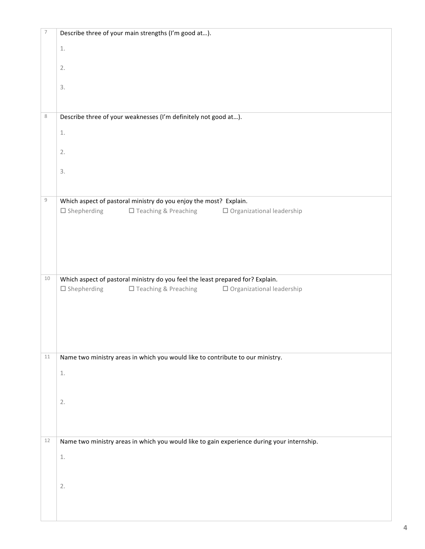| $\overline{\phantom{a}}$ | Describe three of your main strengths (I'm good at).                                                                                                     |
|--------------------------|----------------------------------------------------------------------------------------------------------------------------------------------------------|
|                          | $1.$                                                                                                                                                     |
|                          | 2.                                                                                                                                                       |
|                          |                                                                                                                                                          |
|                          | 3.                                                                                                                                                       |
|                          |                                                                                                                                                          |
| 8                        | Describe three of your weaknesses (I'm definitely not good at).                                                                                          |
|                          | $1.$                                                                                                                                                     |
|                          | 2.                                                                                                                                                       |
|                          |                                                                                                                                                          |
|                          | 3.                                                                                                                                                       |
| $\mathcal G$             |                                                                                                                                                          |
|                          | Which aspect of pastoral ministry do you enjoy the most? Explain.<br>$\square$ Shepherding<br>□ Teaching & Preaching<br>$\Box$ Organizational leadership |
|                          |                                                                                                                                                          |
|                          |                                                                                                                                                          |
|                          |                                                                                                                                                          |
|                          |                                                                                                                                                          |
| $10\,$                   | Which aspect of pastoral ministry do you feel the least prepared for? Explain.                                                                           |
|                          | $\Box$ Shepherding<br>$\Box$ Teaching & Preaching $\Box$ Organizational leadership                                                                       |
|                          |                                                                                                                                                          |
|                          |                                                                                                                                                          |
|                          |                                                                                                                                                          |
| 11                       | Name two ministry areas in which you would like to contribute to our ministry.                                                                           |
|                          | $\underline{1}.$                                                                                                                                         |
|                          |                                                                                                                                                          |
|                          | 2.                                                                                                                                                       |
|                          |                                                                                                                                                          |
|                          |                                                                                                                                                          |
| 12                       | Name two ministry areas in which you would like to gain experience during your internship.                                                               |
|                          | $1.$                                                                                                                                                     |
|                          |                                                                                                                                                          |
|                          | 2.                                                                                                                                                       |
|                          |                                                                                                                                                          |
|                          |                                                                                                                                                          |